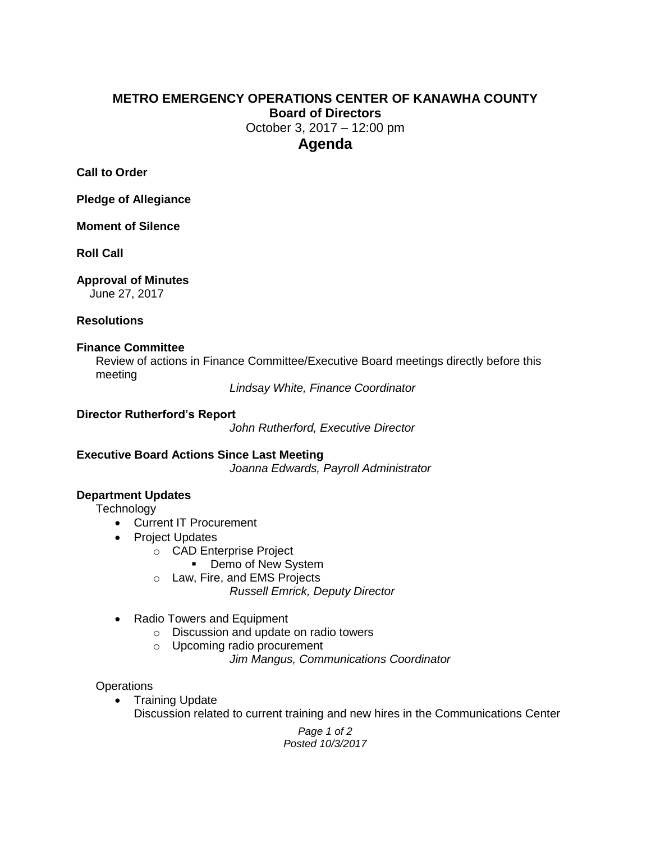# **METRO EMERGENCY OPERATIONS CENTER OF KANAWHA COUNTY Board of Directors** October 3, 2017 – 12:00 pm **Agenda**

**Call to Order**

**Pledge of Allegiance**

**Moment of Silence**

**Roll Call**

## **Approval of Minutes**

June 27, 2017

### **Resolutions**

### **Finance Committee**

Review of actions in Finance Committee/Executive Board meetings directly before this meeting

*Lindsay White, Finance Coordinator*

### **Director Rutherford's Report**

*John Rutherford, Executive Director*

## **Executive Board Actions Since Last Meeting**

*Joanna Edwards, Payroll Administrator*

# **Department Updates**

**Technology** 

- Current IT Procurement
- Project Updates
	- o CAD Enterprise Project
		- Demo of New System
	- o Law, Fire, and EMS Projects
		- *Russell Emrick, Deputy Director*
- Radio Towers and Equipment
	- o Discussion and update on radio towers
	- o Upcoming radio procurement
		- *Jim Mangus, Communications Coordinator*

## **Operations**

• Training Update Discussion related to current training and new hires in the Communications Center

> *Page 1 of 2 Posted 10/3/2017*